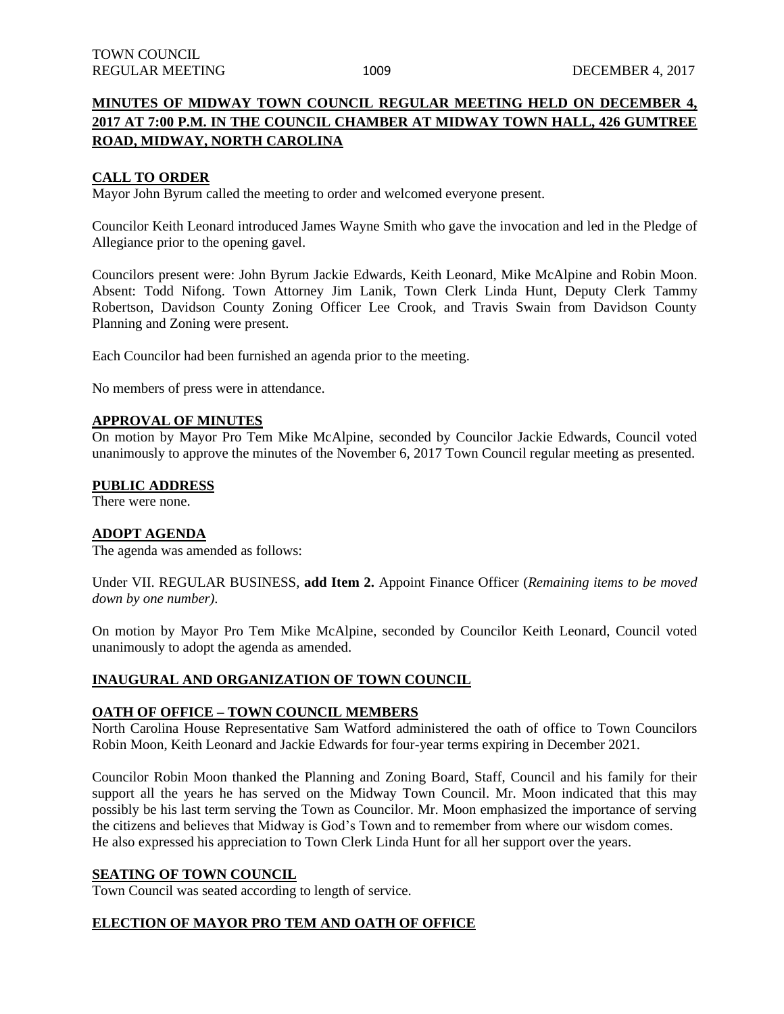# **MINUTES OF MIDWAY TOWN COUNCIL REGULAR MEETING HELD ON DECEMBER 4, 2017 AT 7:00 P.M. IN THE COUNCIL CHAMBER AT MIDWAY TOWN HALL, 426 GUMTREE ROAD, MIDWAY, NORTH CAROLINA**

## **CALL TO ORDER**

Mayor John Byrum called the meeting to order and welcomed everyone present.

Councilor Keith Leonard introduced James Wayne Smith who gave the invocation and led in the Pledge of Allegiance prior to the opening gavel.

Councilors present were: John Byrum Jackie Edwards, Keith Leonard, Mike McAlpine and Robin Moon. Absent: Todd Nifong. Town Attorney Jim Lanik, Town Clerk Linda Hunt, Deputy Clerk Tammy Robertson, Davidson County Zoning Officer Lee Crook, and Travis Swain from Davidson County Planning and Zoning were present.

Each Councilor had been furnished an agenda prior to the meeting.

No members of press were in attendance.

#### **APPROVAL OF MINUTES**

On motion by Mayor Pro Tem Mike McAlpine, seconded by Councilor Jackie Edwards, Council voted unanimously to approve the minutes of the November 6, 2017 Town Council regular meeting as presented.

### **PUBLIC ADDRESS**

There were none.

## **ADOPT AGENDA**

The agenda was amended as follows:

Under VII. REGULAR BUSINESS, **add Item 2.** Appoint Finance Officer (*Remaining items to be moved down by one number).*

On motion by Mayor Pro Tem Mike McAlpine, seconded by Councilor Keith Leonard, Council voted unanimously to adopt the agenda as amended.

### **INAUGURAL AND ORGANIZATION OF TOWN COUNCIL**

# **OATH OF OFFICE – TOWN COUNCIL MEMBERS**

North Carolina House Representative Sam Watford administered the oath of office to Town Councilors Robin Moon, Keith Leonard and Jackie Edwards for four-year terms expiring in December 2021.

Councilor Robin Moon thanked the Planning and Zoning Board, Staff, Council and his family for their support all the years he has served on the Midway Town Council. Mr. Moon indicated that this may possibly be his last term serving the Town as Councilor. Mr. Moon emphasized the importance of serving the citizens and believes that Midway is God's Town and to remember from where our wisdom comes. He also expressed his appreciation to Town Clerk Linda Hunt for all her support over the years.

### **SEATING OF TOWN COUNCIL**

Town Council was seated according to length of service.

# **ELECTION OF MAYOR PRO TEM AND OATH OF OFFICE**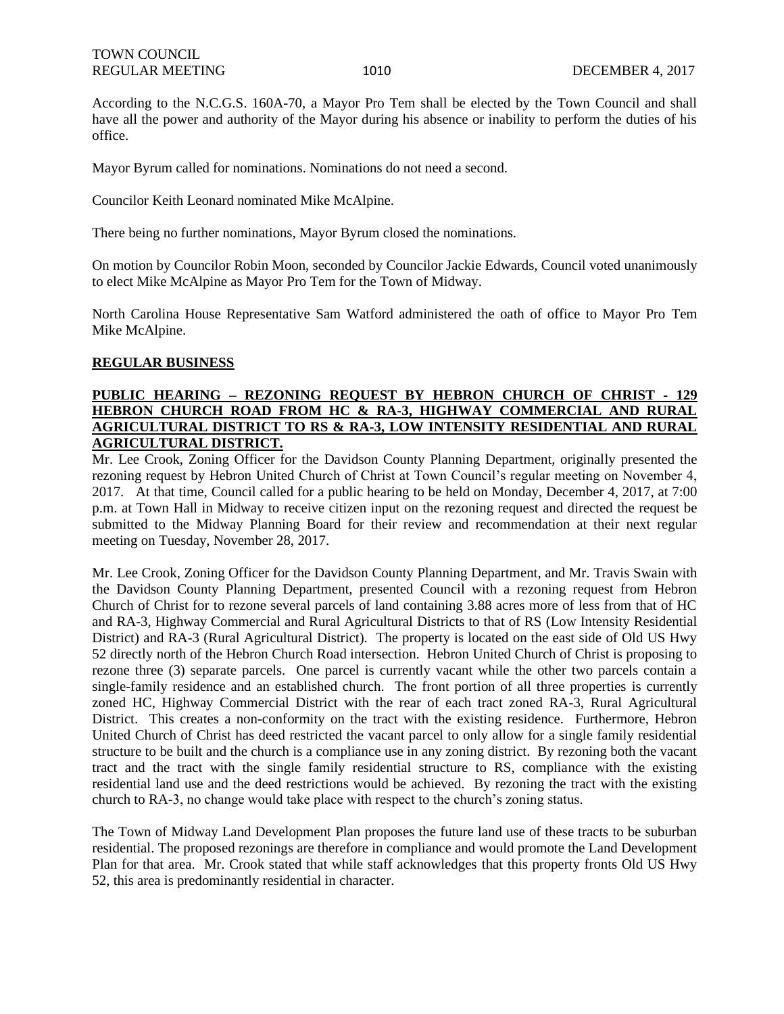According to the N.C.G.S. 160A-70, a Mayor Pro Tem shall be elected by the Town Council and shall have all the power and authority of the Mayor during his absence or inability to perform the duties of his office.

Mayor Byrum called for nominations. Nominations do not need a second.

Councilor Keith Leonard nominated Mike McAlpine.

There being no further nominations, Mayor Byrum closed the nominations.

On motion by Councilor Robin Moon, seconded by Councilor Jackie Edwards, Council voted unanimously to elect Mike McAlpine as Mayor Pro Tem for the Town of Midway.

North Carolina House Representative Sam Watford administered the oath of office to Mayor Pro Tem Mike McAlpine.

## **REGULAR BUSINESS**

# **PUBLIC HEARING – REZONING REQUEST BY HEBRON CHURCH OF CHRIST - 129 HEBRON CHURCH ROAD FROM HC & RA-3, HIGHWAY COMMERCIAL AND RURAL AGRICULTURAL DISTRICT TO RS & RA-3, LOW INTENSITY RESIDENTIAL AND RURAL AGRICULTURAL DISTRICT.**

Mr. Lee Crook, Zoning Officer for the Davidson County Planning Department, originally presented the rezoning request by Hebron United Church of Christ at Town Council's regular meeting on November 4, 2017. At that time, Council called for a public hearing to be held on Monday, December 4, 2017, at 7:00 p.m. at Town Hall in Midway to receive citizen input on the rezoning request and directed the request be submitted to the Midway Planning Board for their review and recommendation at their next regular meeting on Tuesday, November 28, 2017.

Mr. Lee Crook, Zoning Officer for the Davidson County Planning Department, and Mr. Travis Swain with the Davidson County Planning Department, presented Council with a rezoning request from Hebron Church of Christ for to rezone several parcels of land containing 3.88 acres more of less from that of HC and RA-3, Highway Commercial and Rural Agricultural Districts to that of RS (Low Intensity Residential District) and RA-3 (Rural Agricultural District). The property is located on the east side of Old US Hwy 52 directly north of the Hebron Church Road intersection. Hebron United Church of Christ is proposing to rezone three (3) separate parcels. One parcel is currently vacant while the other two parcels contain a single-family residence and an established church. The front portion of all three properties is currently zoned HC, Highway Commercial District with the rear of each tract zoned RA-3, Rural Agricultural District. This creates a non-conformity on the tract with the existing residence. Furthermore, Hebron United Church of Christ has deed restricted the vacant parcel to only allow for a single family residential structure to be built and the church is a compliance use in any zoning district. By rezoning both the vacant tract and the tract with the single family residential structure to RS, compliance with the existing residential land use and the deed restrictions would be achieved. By rezoning the tract with the existing church to RA-3, no change would take place with respect to the church's zoning status.

The Town of Midway Land Development Plan proposes the future land use of these tracts to be suburban residential. The proposed rezonings are therefore in compliance and would promote the Land Development Plan for that area. Mr. Crook stated that while staff acknowledges that this property fronts Old US Hwy 52, this area is predominantly residential in character.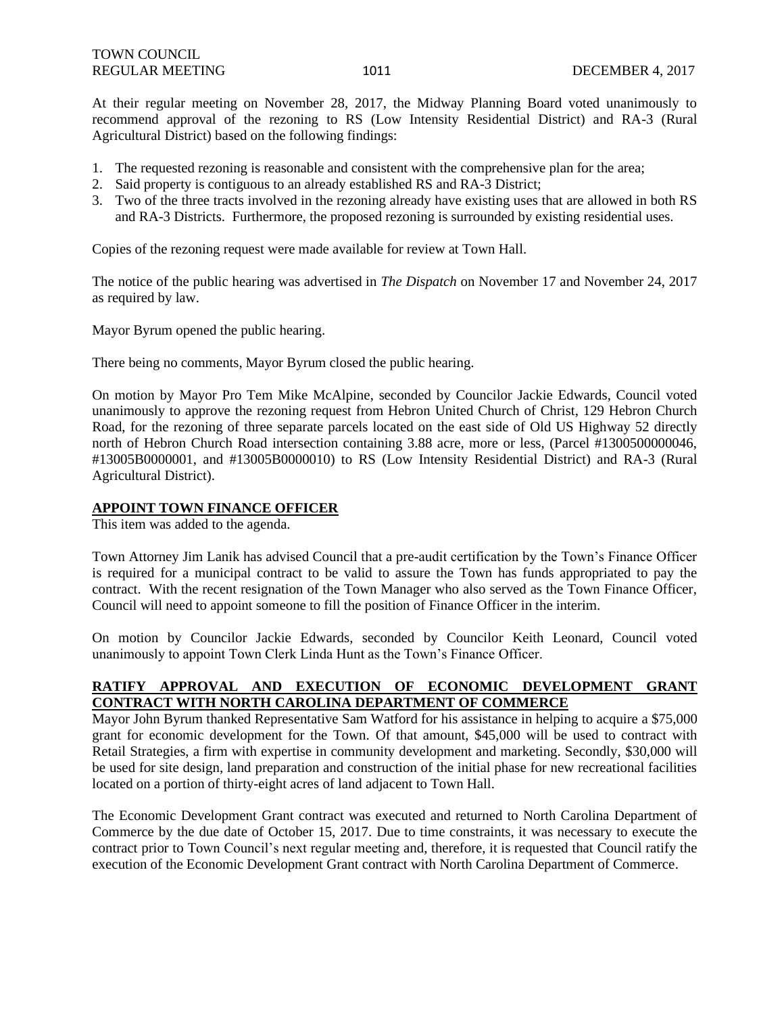At their regular meeting on November 28, 2017, the Midway Planning Board voted unanimously to recommend approval of the rezoning to RS (Low Intensity Residential District) and RA-3 (Rural Agricultural District) based on the following findings:

- 1. The requested rezoning is reasonable and consistent with the comprehensive plan for the area;
- 2. Said property is contiguous to an already established RS and RA-3 District;
- 3. Two of the three tracts involved in the rezoning already have existing uses that are allowed in both RS and RA-3 Districts. Furthermore, the proposed rezoning is surrounded by existing residential uses.

Copies of the rezoning request were made available for review at Town Hall.

The notice of the public hearing was advertised in *The Dispatch* on November 17 and November 24, 2017 as required by law.

Mayor Byrum opened the public hearing.

There being no comments, Mayor Byrum closed the public hearing.

On motion by Mayor Pro Tem Mike McAlpine, seconded by Councilor Jackie Edwards, Council voted unanimously to approve the rezoning request from Hebron United Church of Christ, 129 Hebron Church Road, for the rezoning of three separate parcels located on the east side of Old US Highway 52 directly north of Hebron Church Road intersection containing 3.88 acre, more or less, (Parcel #1300500000046, #13005B0000001, and #13005B0000010) to RS (Low Intensity Residential District) and RA-3 (Rural Agricultural District).

### **APPOINT TOWN FINANCE OFFICER**

This item was added to the agenda.

Town Attorney Jim Lanik has advised Council that a pre-audit certification by the Town's Finance Officer is required for a municipal contract to be valid to assure the Town has funds appropriated to pay the contract. With the recent resignation of the Town Manager who also served as the Town Finance Officer, Council will need to appoint someone to fill the position of Finance Officer in the interim.

On motion by Councilor Jackie Edwards, seconded by Councilor Keith Leonard, Council voted unanimously to appoint Town Clerk Linda Hunt as the Town's Finance Officer.

# **RATIFY APPROVAL AND EXECUTION OF ECONOMIC DEVELOPMENT GRANT CONTRACT WITH NORTH CAROLINA DEPARTMENT OF COMMERCE**

Mayor John Byrum thanked Representative Sam Watford for his assistance in helping to acquire a \$75,000 grant for economic development for the Town. Of that amount, \$45,000 will be used to contract with Retail Strategies, a firm with expertise in community development and marketing. Secondly, \$30,000 will be used for site design, land preparation and construction of the initial phase for new recreational facilities located on a portion of thirty-eight acres of land adjacent to Town Hall.

The Economic Development Grant contract was executed and returned to North Carolina Department of Commerce by the due date of October 15, 2017. Due to time constraints, it was necessary to execute the contract prior to Town Council's next regular meeting and, therefore, it is requested that Council ratify the execution of the Economic Development Grant contract with North Carolina Department of Commerce.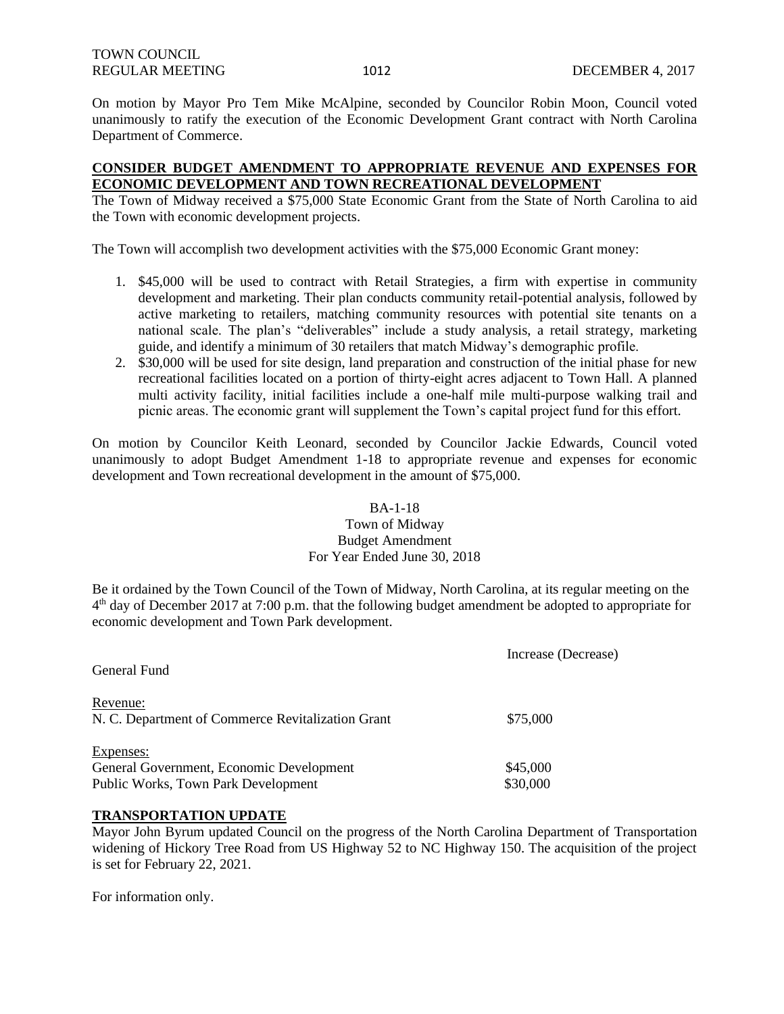On motion by Mayor Pro Tem Mike McAlpine, seconded by Councilor Robin Moon, Council voted unanimously to ratify the execution of the Economic Development Grant contract with North Carolina Department of Commerce.

# **CONSIDER BUDGET AMENDMENT TO APPROPRIATE REVENUE AND EXPENSES FOR ECONOMIC DEVELOPMENT AND TOWN RECREATIONAL DEVELOPMENT**

The Town of Midway received a \$75,000 State Economic Grant from the State of North Carolina to aid the Town with economic development projects.

The Town will accomplish two development activities with the \$75,000 Economic Grant money:

- 1. \$45,000 will be used to contract with Retail Strategies, a firm with expertise in community development and marketing. Their plan conducts community retail-potential analysis, followed by active marketing to retailers, matching community resources with potential site tenants on a national scale. The plan's "deliverables" include a study analysis, a retail strategy, marketing guide, and identify a minimum of 30 retailers that match Midway's demographic profile.
- 2. \$30,000 will be used for site design, land preparation and construction of the initial phase for new recreational facilities located on a portion of thirty-eight acres adjacent to Town Hall. A planned multi activity facility, initial facilities include a one-half mile multi-purpose walking trail and picnic areas. The economic grant will supplement the Town's capital project fund for this effort.

On motion by Councilor Keith Leonard, seconded by Councilor Jackie Edwards, Council voted unanimously to adopt Budget Amendment 1-18 to appropriate revenue and expenses for economic development and Town recreational development in the amount of \$75,000.

### BA-1-18

# Town of Midway Budget Amendment For Year Ended June 30, 2018

Be it ordained by the Town Council of the Town of Midway, North Carolina, at its regular meeting on the 4<sup>th</sup> day of December 2017 at 7:00 p.m. that the following budget amendment be adopted to appropriate for economic development and Town Park development.

|                                                   | Increase (Decrease) |
|---------------------------------------------------|---------------------|
| General Fund                                      |                     |
| Revenue:                                          |                     |
| N. C. Department of Commerce Revitalization Grant | \$75,000            |
| Expenses:                                         |                     |
| General Government, Economic Development          | \$45,000            |
| Public Works, Town Park Development               | \$30,000            |
|                                                   |                     |

### **TRANSPORTATION UPDATE**

Mayor John Byrum updated Council on the progress of the North Carolina Department of Transportation widening of Hickory Tree Road from US Highway 52 to NC Highway 150. The acquisition of the project is set for February 22, 2021.

For information only.